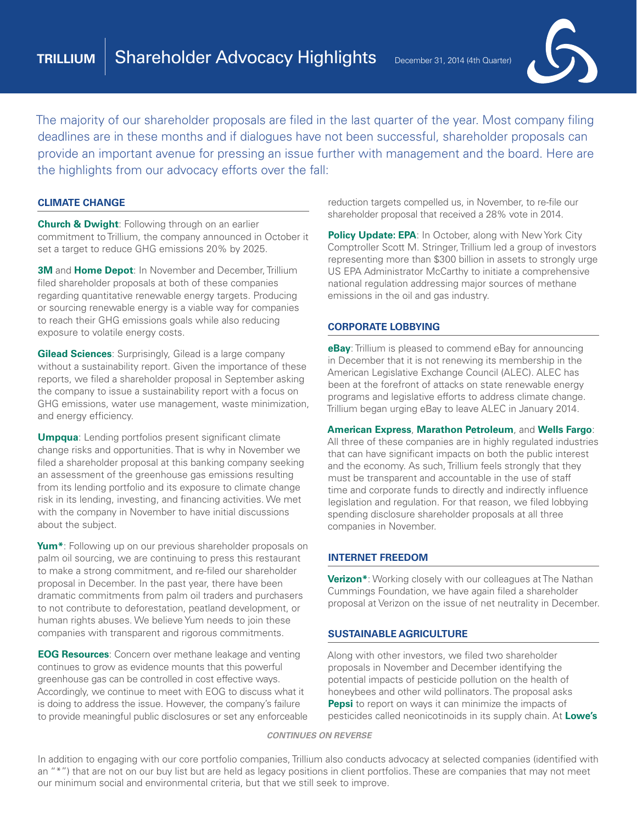

The majority of our shareholder proposals are filed in the last quarter of the year. Most company filing deadlines are in these months and if dialogues have not been successful, shareholder proposals can provide an important avenue for pressing an issue further with management and the board. Here are the highlights from our advocacy efforts over the fall:

### **CLIMATE CHANGE**

**Church & Dwight**: Following through on an earlier commitment to Trillium, the company announced in October it set a target to reduce GHG emissions 20% by 2025.

**3M** and **Home Depot**: In November and December, Trillium filed shareholder proposals at both of these companies regarding quantitative renewable energy targets. Producing or sourcing renewable energy is a viable way for companies to reach their GHG emissions goals while also reducing exposure to volatile energy costs.

**Gilead Sciences**: Surprisingly, Gilead is a large company without a sustainability report. Given the importance of these reports, we filed a shareholder proposal in September asking the company to issue a sustainability report with a focus on GHG emissions, water use management, waste minimization, and energy efficiency.

**Umpqua**: Lending portfolios present significant climate change risks and opportunities. That is why in November we filed a shareholder proposal at this banking company seeking an assessment of the greenhouse gas emissions resulting from its lending portfolio and its exposure to climate change risk in its lending, investing, and financing activities. We met with the company in November to have initial discussions about the subject.

**Yum\***: Following up on our previous shareholder proposals on palm oil sourcing, we are continuing to press this restaurant to make a strong commitment, and re-filed our shareholder proposal in December. In the past year, there have been dramatic commitments from palm oil traders and purchasers to not contribute to deforestation, peatland development, or human rights abuses. We believe Yum needs to join these companies with transparent and rigorous commitments.

**EOG Resources**: Concern over methane leakage and venting continues to grow as evidence mounts that this powerful greenhouse gas can be controlled in cost effective ways. Accordingly, we continue to meet with EOG to discuss what it is doing to address the issue. However, the company's failure to provide meaningful public disclosures or set any enforceable reduction targets compelled us, in November, to re-file our shareholder proposal that received a 28% vote in 2014.

**Policy Update: EPA: In October, along with New York City** Comptroller Scott M. Stringer, Trillium led a group of investors representing more than \$300 billion in assets to strongly urge US EPA Administrator McCarthy to initiate a comprehensive national regulation addressing major sources of methane emissions in the oil and gas industry.

## **CORPORATE LOBBYING**

**eBay**: Trillium is pleased to commend eBay for announcing in December that it is not renewing its membership in the American Legislative Exchange Council (ALEC). ALEC has been at the forefront of attacks on state renewable energy programs and legislative efforts to address climate change. Trillium began urging eBay to leave ALEC in January 2014.

#### **American Express**, **Marathon Petroleum**, and **Wells Fargo**:

All three of these companies are in highly regulated industries that can have significant impacts on both the public interest and the economy. As such, Trillium feels strongly that they must be transparent and accountable in the use of staff time and corporate funds to directly and indirectly influence legislation and regulation. For that reason, we filed lobbying spending disclosure shareholder proposals at all three companies in November.

#### **INTERNET FREEDOM**

**Verizon\***: Working closely with our colleagues at The Nathan Cummings Foundation, we have again filed a shareholder proposal at Verizon on the issue of net neutrality in December.

#### **SUSTAINABLE AGRICULTURE**

Along with other investors, we filed two shareholder proposals in November and December identifying the potential impacts of pesticide pollution on the health of honeybees and other wild pollinators. The proposal asks **Pepsi** to report on ways it can minimize the impacts of pesticides called neonicotinoids in its supply chain. At **Lowe's**

#### *CONTINUES ON REVERSE*

In addition to engaging with our core portfolio companies, Trillium also conducts advocacy at selected companies (identified with an "\*") that are not on our buy list but are held as legacy positions in client portfolios. These are companies that may not meet our minimum social and environmental criteria, but that we still seek to improve.